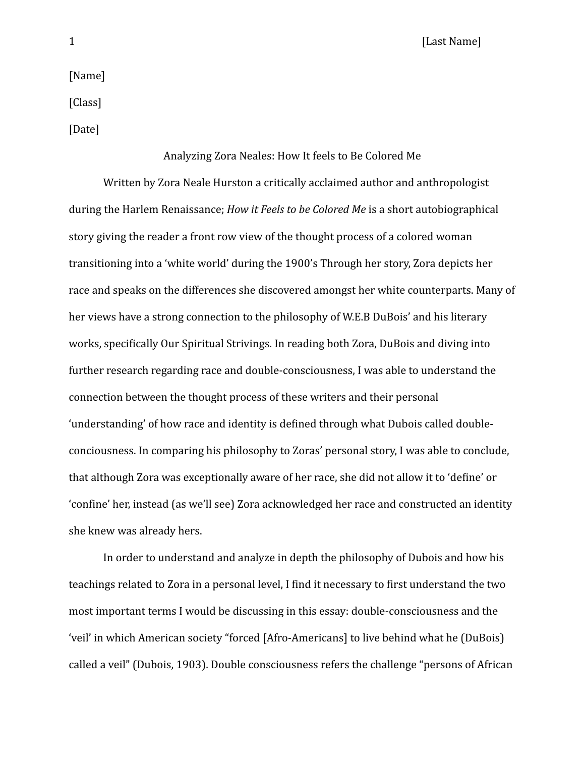1 **I Example 1 Example 1 Example 1 Example 1 Example 1 EXAMPLE 1 EXAMPLE 1** 

[Name]

[Class]

[Date]

## Analyzing Zora Neales: How It feels to Be Colored Me

Written by Zora Neale Hurston a critically acclaimed author and anthropologist during the Harlem Renaissance; *How it Feels to be Colored Me* is a short autobiographical story giving the reader a front row view of the thought process of a colored woman transitioning into a 'white world' during the 1900's Through her story, Zora depicts her race and speaks on the differences she discovered amongst her white counterparts. Many of her views have a strong connection to the philosophy of W.E.B DuBois' and his literary works, specifically Our Spiritual Strivings. In reading both Zora, DuBois and diving into further research regarding race and double-consciousness, I was able to understand the connection between the thought process of these writers and their personal 'understanding' of how race and identity is defined through what Dubois called doubleconciousness. In comparing his philosophy to Zoras' personal story, I was able to conclude, that although Zora was exceptionally aware of her race, she did not allow it to 'define' or 'confine' her, instead (as we'll see) Zora acknowledged her race and constructed an identity she knew was already hers.

In order to understand and analyze in depth the philosophy of Dubois and how his teachings related to Zora in a personal level, I find it necessary to first understand the two most important terms I would be discussing in this essay: double-consciousness and the 'veil' in which American society "forced [Afro-Americans] to live behind what he (DuBois) called a veil" (Dubois, 1903). Double consciousness refers the challenge "persons of African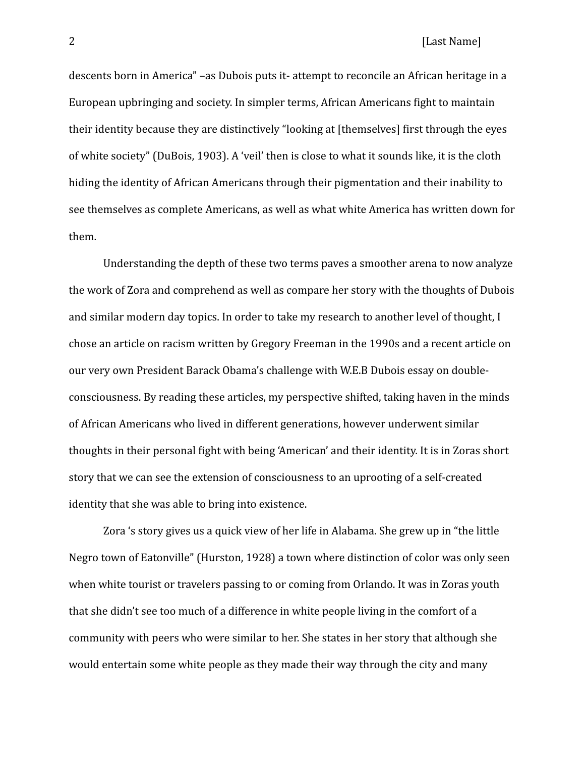## 2 **If the U.S. In the U.S. In the U.S. In the U.S. In the U.S. In the U.S. In the U.S. In the U.S. In the U.S. In the U.S. In the U.S. In the U.S. In the U.S. In the U.S. In the U.S. In the U.S. In the U.S. In the U.S. In**

descents born in America" –as Dubois puts it- attempt to reconcile an African heritage in a European upbringing and society. In simpler terms, African Americans fight to maintain their identity because they are distinctively "looking at [themselves] first through the eyes of white society" (DuBois, 1903). A 'veil' then is close to what it sounds like, it is the cloth hiding the identity of African Americans through their pigmentation and their inability to see themselves as complete Americans, as well as what white America has written down for them. 

Understanding the depth of these two terms paves a smoother arena to now analyze the work of Zora and comprehend as well as compare her story with the thoughts of Dubois and similar modern day topics. In order to take my research to another level of thought, I chose an article on racism written by Gregory Freeman in the 1990s and a recent article on our very own President Barack Obama's challenge with W.E.B Dubois essay on doubleconsciousness. By reading these articles, my perspective shifted, taking haven in the minds of African Americans who lived in different generations, however underwent similar thoughts in their personal fight with being 'American' and their identity. It is in Zoras short story that we can see the extension of consciousness to an uprooting of a self-created identity that she was able to bring into existence.

Zora 's story gives us a quick view of her life in Alabama. She grew up in "the little Negro town of Eatonville" (Hurston, 1928) a town where distinction of color was only seen when white tourist or travelers passing to or coming from Orlando. It was in Zoras youth that she didn't see too much of a difference in white people living in the comfort of a community with peers who were similar to her. She states in her story that although she would entertain some white people as they made their way through the city and many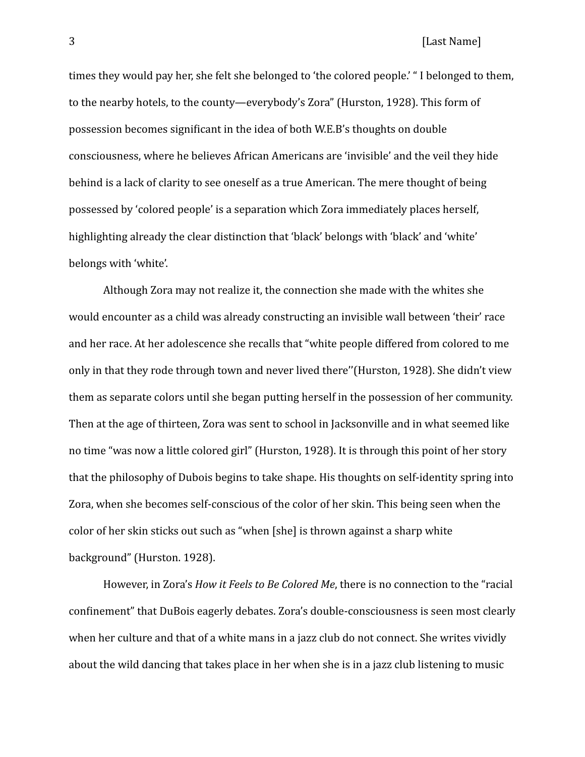times they would pay her, she felt she belonged to 'the colored people.' "I belonged to them, to the nearby hotels, to the county—everybody's Zora" (Hurston, 1928). This form of possession becomes significant in the idea of both W.E.B's thoughts on double consciousness, where he believes African Americans are 'invisible' and the veil they hide behind is a lack of clarity to see oneself as a true American. The mere thought of being possessed by 'colored people' is a separation which Zora immediately places herself, highlighting already the clear distinction that 'black' belongs with 'black' and 'white' belongs with 'white'.

Although Zora may not realize it, the connection she made with the whites she would encounter as a child was already constructing an invisible wall between 'their' race and her race. At her adolescence she recalls that "white people differed from colored to me only in that they rode through town and never lived there"(Hurston, 1928). She didn't view them as separate colors until she began putting herself in the possession of her community. Then at the age of thirteen, Zora was sent to school in Jacksonville and in what seemed like no time "was now a little colored girl" (Hurston, 1928). It is through this point of her story that the philosophy of Dubois begins to take shape. His thoughts on self-identity spring into Zora, when she becomes self-conscious of the color of her skin. This being seen when the color of her skin sticks out such as "when [she] is thrown against a sharp white background" (Hurston. 1928).

However, in Zora's *How it Feels to Be Colored Me*, there is no connection to the "racial confinement" that DuBois eagerly debates. Zora's double-consciousness is seen most clearly when her culture and that of a white mans in a jazz club do not connect. She writes vividly about the wild dancing that takes place in her when she is in a jazz club listening to music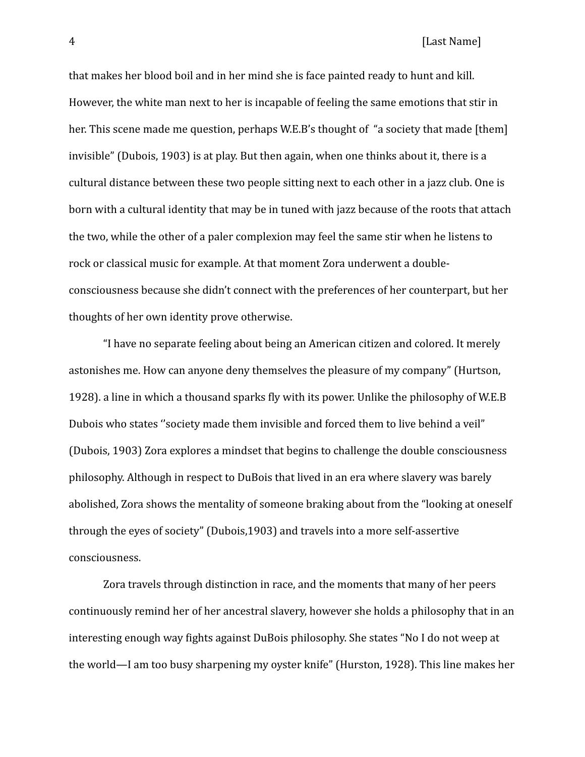4 **If the U.S. COMPUTER CONSUMING THE CONSUMING TEAM** [Last Name]

that makes her blood boil and in her mind she is face painted ready to hunt and kill. However, the white man next to her is incapable of feeling the same emotions that stir in her. This scene made me question, perhaps W.E.B's thought of "a society that made [them] invisible" (Dubois, 1903) is at play. But then again, when one thinks about it, there is a cultural distance between these two people sitting next to each other in a jazz club. One is born with a cultural identity that may be in tuned with jazz because of the roots that attach the two, while the other of a paler complexion may feel the same stir when he listens to rock or classical music for example. At that moment Zora underwent a doubleconsciousness because she didn't connect with the preferences of her counterpart, but her thoughts of her own identity prove otherwise.

"I have no separate feeling about being an American citizen and colored. It merely astonishes me. How can anyone deny themselves the pleasure of my company" (Hurtson, 1928). a line in which a thousand sparks fly with its power. Unlike the philosophy of W.E.B Dubois who states "society made them invisible and forced them to live behind a veil" (Dubois, 1903) Zora explores a mindset that begins to challenge the double consciousness philosophy. Although in respect to DuBois that lived in an era where slavery was barely abolished, Zora shows the mentality of someone braking about from the "looking at oneself through the eyes of society" (Dubois,1903) and travels into a more self-assertive consciousness. 

Zora travels through distinction in race, and the moments that many of her peers continuously remind her of her ancestral slavery, however she holds a philosophy that in an interesting enough way fights against DuBois philosophy. She states "No I do not weep at the world—I am too busy sharpening my oyster knife" (Hurston, 1928). This line makes her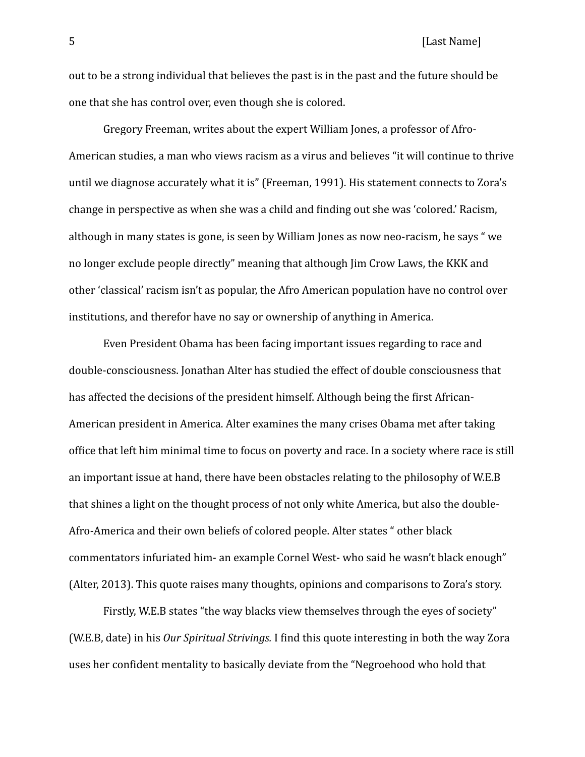5 [Last Name]

out to be a strong individual that believes the past is in the past and the future should be one that she has control over, even though she is colored.

Gregory Freeman, writes about the expert William Jones, a professor of Afro-American studies, a man who views racism as a virus and believes "it will continue to thrive until we diagnose accurately what it is" (Freeman, 1991). His statement connects to Zora's change in perspective as when she was a child and finding out she was 'colored.' Racism, although in many states is gone, is seen by William Jones as now neo-racism, he says "we no longer exclude people directly" meaning that although Jim Crow Laws, the KKK and other 'classical' racism isn't as popular, the Afro American population have no control over institutions, and therefor have no say or ownership of anything in America.

Even President Obama has been facing important issues regarding to race and double-consciousness. Ionathan Alter has studied the effect of double consciousness that has affected the decisions of the president himself. Although being the first African-American president in America. Alter examines the many crises Obama met after taking office that left him minimal time to focus on poverty and race. In a society where race is still an important issue at hand, there have been obstacles relating to the philosophy of W.E.B that shines a light on the thought process of not only white America, but also the double-Afro-America and their own beliefs of colored people. Alter states " other black commentators infuriated him- an example Cornel West- who said he wasn't black enough" (Alter, 2013). This quote raises many thoughts, opinions and comparisons to Zora's story.

Firstly, W.E.B states "the way blacks view themselves through the eyes of society" (W.E.B, date) in his *Our Spiritual Strivings.* I find this quote interesting in both the way Zora uses her confident mentality to basically deviate from the "Negroehood who hold that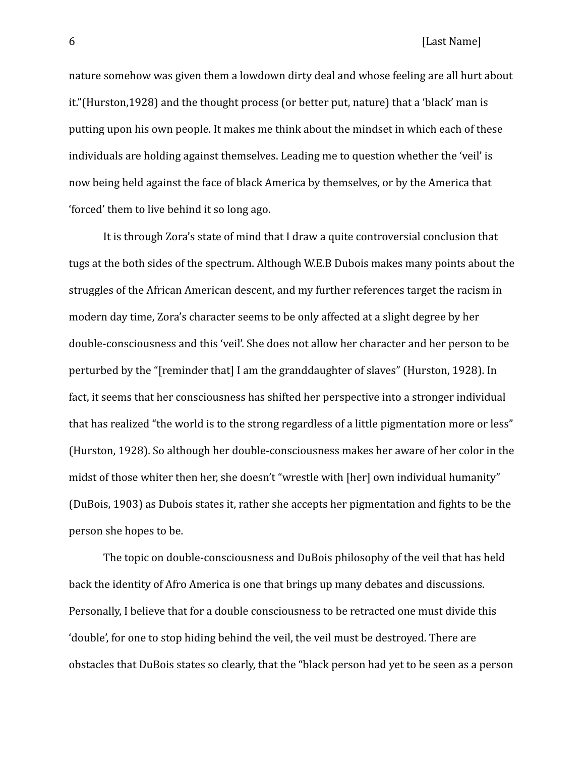nature somehow was given them a lowdown dirty deal and whose feeling are all hurt about it."(Hurston,1928) and the thought process (or better put, nature) that a 'black' man is putting upon his own people. It makes me think about the mindset in which each of these individuals are holding against themselves. Leading me to question whether the 'veil' is now being held against the face of black America by themselves, or by the America that 'forced' them to live behind it so long ago.

It is through Zora's state of mind that I draw a quite controversial conclusion that tugs at the both sides of the spectrum. Although W.E.B Dubois makes many points about the struggles of the African American descent, and my further references target the racism in modern day time, Zora's character seems to be only affected at a slight degree by her double-consciousness and this 'veil'. She does not allow her character and her person to be perturbed by the "[reminder that] I am the granddaughter of slaves" (Hurston, 1928). In fact, it seems that her consciousness has shifted her perspective into a stronger individual that has realized "the world is to the strong regardless of a little pigmentation more or less" (Hurston, 1928). So although her double-consciousness makes her aware of her color in the midst of those whiter then her, she doesn't "wrestle with [her] own individual humanity" (DuBois, 1903) as Dubois states it, rather she accepts her pigmentation and fights to be the person she hopes to be.

The topic on double-consciousness and DuBois philosophy of the veil that has held back the identity of Afro America is one that brings up many debates and discussions. Personally, I believe that for a double consciousness to be retracted one must divide this 'double', for one to stop hiding behind the veil, the veil must be destroyed. There are obstacles that DuBois states so clearly, that the "black person had yet to be seen as a person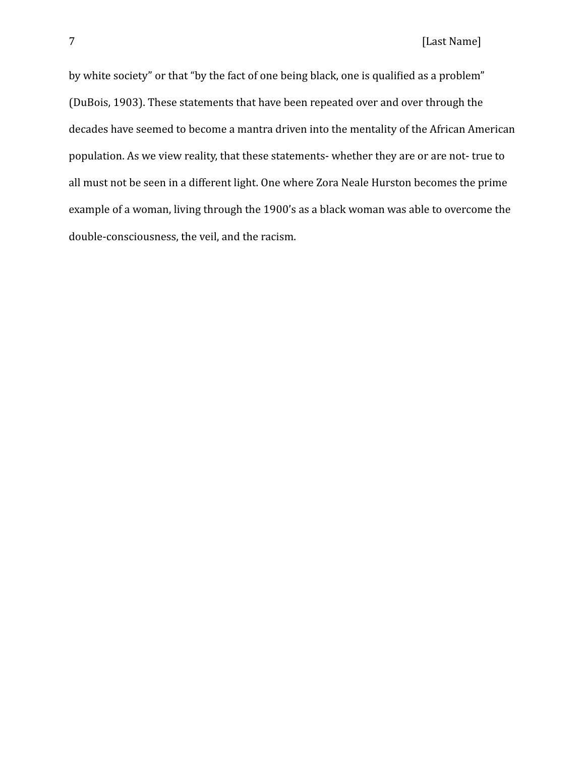by white society" or that "by the fact of one being black, one is qualified as a problem" (DuBois, 1903). These statements that have been repeated over and over through the decades have seemed to become a mantra driven into the mentality of the African American population. As we view reality, that these statements- whether they are or are not- true to all must not be seen in a different light. One where Zora Neale Hurston becomes the prime example of a woman, living through the 1900's as a black woman was able to overcome the double-consciousness, the veil, and the racism.